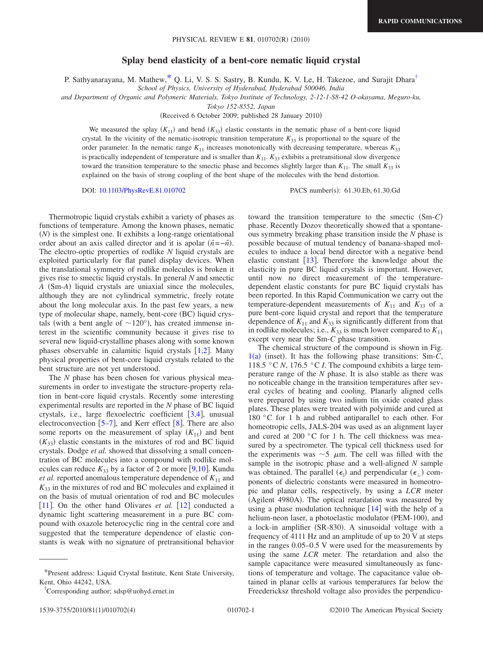## **Splay bend elasticity of a bent-core nematic liquid crystal**

P. Sathyanarayana, M. Mathew, \* Q. Li, V. S. S. Sastry, B. Kundu, K. V. Le, H. Takezoe, and Surajit Dhara<sup>†</sup>

*School of Physics, University of Hyderabad, Hyderabad 500046, India*

*and Department of Organic and Polymeric Materials, Tokyo Institute of Technology, 2-12-1-S8-42 O-okayama, Meguro-ku,*

*Tokyo 152-8552, Japan*

(Received 6 October 2009; published 28 January 2010)

We measured the splay  $(K_{11})$  and bend  $(K_{33})$  elastic constants in the nematic phase of a bent-core liquid crystal. In the vicinity of the nematic-isotropic transition temperature  $K_{33}$  is proportional to the square of the order parameter. In the nematic range *K*<sup>11</sup> increases monotonically with decreasing temperature, whereas *K*<sup>33</sup> is practically independent of temperature and is smaller than  $K_{11}$ .  $K_{33}$  exhibits a pretransitional slow divergence toward the transition temperature to the smectic phase and becomes slightly larger than  $K_{11}$ . The small  $K_{33}$  is explained on the basis of strong coupling of the bent shape of the molecules with the bend distortion.

DOI: [10.1103/PhysRevE.81.010702](http://dx.doi.org/10.1103/PhysRevE.81.010702)

PACS number(s): 61.30.Eb, 61.30.Gd

Thermotropic liquid crystals exhibit a variety of phases as functions of temperature. Among the known phases, nematic  $(N)$  is the simplest one. It exhibits a long-range orientational order about an axis called director and it is apolar  $(\hat{n} = -\hat{n})$ . The electro-optic properties of rodlike *N* liquid crystals are exploited particularly for flat panel display devices. When the translational symmetry of rodlike molecules is broken it gives rise to smectic liquid crystals. In general *N* and smectic *A* (Sm-*A*) liquid crystals are uniaxial since the molecules, although they are not cylindrical symmetric, freely rotate about the long molecular axis. In the past few years, a new type of molecular shape, namely, bent-core (BC) liquid crystals (with a bent angle of  $\sim$ 120°), has created immense interest in the scientific community because it gives rise to several new liquid-crystalline phases along with some known phases observable in calamitic liquid crystals  $[1,2]$  $[1,2]$  $[1,2]$  $[1,2]$ . Many physical properties of bent-core liquid crystals related to the bent structure are not yet understood.

The *N* phase has been chosen for various physical measurements in order to investigate the structure-property relation in bent-core liquid crystals. Recently some interesting experimental results are reported in the *N* phase of BC liquid crystals, i.e., large flexoelectric coefficient  $\lceil 3,4 \rceil$  $\lceil 3,4 \rceil$  $\lceil 3,4 \rceil$  $\lceil 3,4 \rceil$ , unusual electroconvection  $\lceil 5-7 \rceil$  $\lceil 5-7 \rceil$  $\lceil 5-7 \rceil$ , and Kerr effect  $\lceil 8 \rceil$  $\lceil 8 \rceil$  $\lceil 8 \rceil$ . There are also some reports on the measurement of splay  $(K_{11})$  and bent  $(K_{33})$  elastic constants in the mixtures of rod and BC liquid crystals. Dodge *et al.* showed that dissolving a small concentration of BC molecules into a compound with rodlike molecules can reduce  $K_{33}$  by a factor of 2 or more [[9](#page-3-7)[,10](#page-3-8)]. Kundu *et al.* reported anomalous temperature dependence of  $K_{11}$  and  $K_{33}$  in the mixtures of rod and BC molecules and explained it on the basis of mutual orientation of rod and BC molecules [[11](#page-3-9)]. On the other hand Olivares *et al.*  $[12]$  $[12]$  $[12]$  conducted a dynamic light scattering measurement in a pure BC compound with oxazole heterocyclic ring in the central core and suggested that the temperature dependence of elastic constants is weak with no signature of pretransitional behavior

toward the transition temperature to the smectic (Sm-C) phase. Recently Dozov theoretically showed that a spontaneous symmetry breaking phase transition inside the *N* phase is possible because of mutual tendency of banana-shaped molecules to induce a local bend director with a negative bend elastic constant  $\lceil 13 \rceil$  $\lceil 13 \rceil$  $\lceil 13 \rceil$ . Therefore the knowledge about the elasticity in pure BC liquid crystals is important. However, until now no direct measurement of the temperaturedependent elastic constants for pure BC liquid crystals has been reported. In this Rapid Communication we carry out the temperature-dependent measurements of  $K_{11}$  and  $K_{33}$  of a pure bent-core liquid crystal and report that the temperature dependence of  $K_{11}$  and  $K_{33}$  is significantly different from that in rodlike molecules; i.e.,  $K_{33}$  is much lower compared to  $K_{11}$ except very near the Sm-*C* phase transition.

The chemical structure of the compound is shown in Fig. [1](#page-1-0)(a) (inset). It has the following phase transitions: Sm-C, 118.5 °C  $N$ , 176.5 °C *I*. The compound exhibits a large temperature range of the *N* phase. It is also stable as there was no noticeable change in the transition temperatures after several cycles of heating and cooling. Planarly aligned cells were prepared by using two indium tin oxide coated glass plates. These plates were treated with polyimide and cured at 180 °C for 1 h and rubbed antiparallel to each other. For homeotropic cells, JALS-204 was used as an alignment layer and cured at 200 °C for 1 h. The cell thickness was measured by a spectrometer. The typical cell thickness used for the experiments was  $\sim$  5  $\mu$ m. The cell was filled with the sample in the isotropic phase and a well-aligned *N* sample was obtained. The parallel  $(\epsilon_{\parallel})$  and perpendicular  $(\epsilon_{\perp})$  components of dielectric constants were measured in homeotropic and planar cells, respectively, by using a *LCR* meter (Agilent 4980A). The optical retardation was measured by using a phase modulation technique  $[14]$  $[14]$  $[14]$  with the help of a helium-neon laser, a photoelastic modulator (PEM-100), and a lock-in amplifier (SR-830). A sinusoidal voltage with a frequency of 4111 Hz and an amplitude of up to 20 V at steps in the ranges 0.05–0.5 V were used for the measurements by using the same *LCR* meter. The retardation and also the sample capacitance were measured simultaneously as functions of temperature and voltage. The capacitance value obtained in planar cells at various temperatures far below the Freedericksz threshold voltage also provides the perpendicu-

<span id="page-0-0"></span><sup>\*</sup>Present address: Liquid Crystal Institute, Kent State University, Kent, Ohio 44242, USA.

<span id="page-0-1"></span><sup>†</sup> Corresponding author; sdsp@uohyd.ernet.in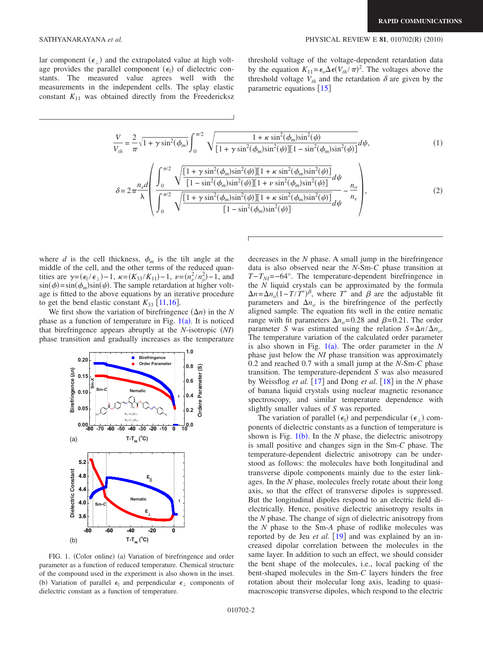lar component  $(\epsilon_{\perp})$  and the extrapolated value at high voltage provides the parallel component  $(\epsilon_{\parallel})$  of dielectric constants. The measured value agrees well with the measurements in the independent cells. The splay elastic constant  $K_{11}$  was obtained directly from the Freedericksz threshold voltage of the voltage-dependent retardation data by the equation  $K_{11} = \epsilon_o \Delta \epsilon (V_{th}/\pi)^2$ . The voltages above the threshold voltage  $V_{th}$  and the retardation  $\delta$  are given by the parametric equations  $\lceil 15 \rceil$  $\lceil 15 \rceil$  $\lceil 15 \rceil$ 

$$
\frac{V}{V_{th}} = \frac{2}{\pi} \sqrt{1 + \gamma \sin^2(\phi_m)} \int_0^{\pi/2} \sqrt{\frac{1 + \kappa \sin^2(\phi_m) \sin^2(\psi)}{[1 + \gamma \sin^2(\phi_m) \sin^2(\psi)][1 - \sin^2(\phi_m) \sin^2(\psi)]}} d\psi,
$$
(1)

<span id="page-1-1"></span>
$$
\delta = 2\pi \frac{n_e d}{\lambda} \left( \frac{\int_0^{\pi/2} \sqrt{\frac{[1 + \gamma \sin^2(\phi_m) \sin^2(\psi)][1 + \kappa \sin^2(\phi_m) \sin^2(\psi)]}{[1 - \sin^2(\phi_m) \sin^2(\psi)][1 + \nu \sin^2(\phi_m) \sin^2(\psi)]}}{ \int_0^{\pi/2} \sqrt{\frac{[1 + \gamma \sin^2(\phi_m) \sin^2(\psi)][1 + \kappa \sin^2(\phi_m) \sin^2(\psi)]}{[1 - \sin^2(\phi_m) \sin^2(\psi)]}} d\psi - \frac{n_e}{n_e} \right),
$$
\n(2)

where *d* is the cell thickness,  $\phi_m$  is the tilt angle at the middle of the cell, and the other terms of the reduced quantities are  $\gamma = (\epsilon_{\parallel}/\epsilon_{\perp}) - 1$ ,  $\kappa = (K_{33}/K_{11}) - 1$ ,  $\nu = (n_e^2/n_o^2) - 1$ , and  $\sin(\phi) = \sin(\phi_m)\sin(\psi)$ . The sample retardation at higher voltage is fitted to the above equations by an iterative procedure to get the bend elastic constant  $K_{33}$  [[11](#page-3-9)[,16](#page-3-14)].

We first show the variation of birefringence  $(\Delta n)$  in the *N* phase as a function of temperature in Fig.  $1(a)$  $1(a)$ . It is noticed that birefringence appears abruptly at the *N*-isotropic *NI* phase transition and gradually increases as the temperature

<span id="page-1-0"></span>

FIG. 1. (Color online) (a) Variation of birefringence and order parameter as a function of reduced temperature. Chemical structure of the compound used in the experiment is also shown in the inset. (b) Variation of parallel  $\epsilon_{\parallel}$  and perpendicular  $\epsilon_{\perp}$  components of dielectric constant as a function of temperature.

decreases in the *N* phase. A small jump in the birefringence data is also observed near the *N*-Sm-*C* phase transition at  $T-T_{NI}$ =−64°. The temperature-dependent birefringence in the *N* liquid crystals can be approximated by the formula  $\Delta n = \Delta n_o (1 - T/T^*)^{\beta}$ , where *T*<sup>\*</sup> and *β* are the adjustable fit parameters and  $\Delta n_o$  is the birefringence of the perfectly aligned sample. The equation fits well in the entire nematic range with fit parameters  $\Delta n$ <sub>o</sub>=0.28 and  $\beta$ =0.21. The order parameter *S* was estimated using the relation  $S = \Delta n / \Delta n_o$ . The temperature variation of the calculated order parameter is also shown in Fig.  $1(a)$  $1(a)$ . The order parameter in the *N* phase just below the *NI* phase transition was approximately 0.2 and reached 0.7 with a small jump at the *N*-Sm-*C* phase transition. The temperature-dependent *S* was also measured by Weissflog *et al.* [[17](#page-3-15)] and Dong *et al.* [[18](#page-3-16)] in the *N* phase of banana liquid crystals using nuclear magnetic resonance spectroscopy, and similar temperature dependence with slightly smaller values of *S* was reported.

The variation of parallel  $(\epsilon_{\parallel})$  and perpendicular  $(\epsilon_{\perp})$  components of dielectric constants as a function of temperature is shown is Fig.  $1(b)$  $1(b)$ . In the *N* phase, the dielectric anisotropy is small positive and changes sign in the Sm-*C* phase. The temperature-dependent dielectric anisotropy can be understood as follows: the molecules have both longitudinal and transverse dipole components mainly due to the ester linkages. In the *N* phase, molecules freely rotate about their long axis, so that the effect of transverse dipoles is suppressed. But the longitudinal dipoles respond to an electric field dielectrically. Hence, positive dielectric anisotropy results in the *N* phase. The change of sign of dielectric anisotropy from the *N* phase to the Sm-*A* phase of rodlike molecules was reported by de Jeu *et al.* [[19](#page-3-17)] and was explained by an increased dipolar correlation between the molecules in the same layer. In addition to such an effect, we should consider the bent shape of the molecules, i.e., local packing of the bent-shaped molecules in the Sm-*C* layers hinders the free rotation about their molecular long axis, leading to quasimacroscopic transverse dipoles, which respond to the electric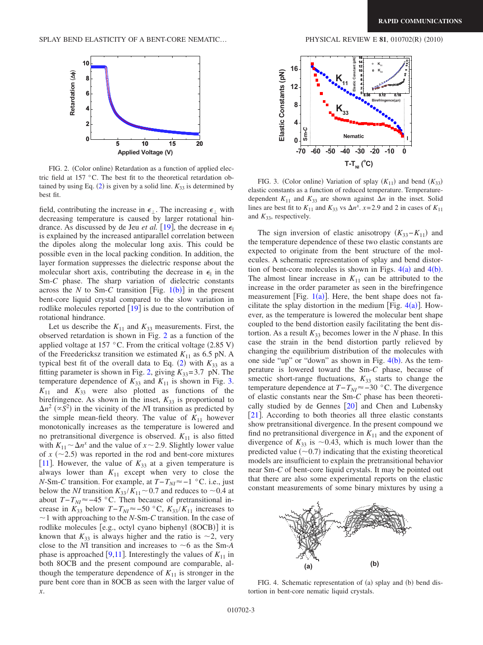$(2010)$ 

<span id="page-2-0"></span>

FIG. 2. (Color online) Retardation as a function of applied electric field at 157 °C. The best fit to the theoretical retardation obtained by using Eq.  $(2)$  $(2)$  $(2)$  is given by a solid line.  $K_{33}$  is determined by best fit.

field, contributing the increase in  $\epsilon_{\perp}$ . The increasing  $\epsilon_{\perp}$  with decreasing temperature is caused by larger rotational hindrance. As discussed by de Jeu *et al.* [[19](#page-3-17)], the decrease in  $\epsilon_{\parallel}$ is explained by the increased antiparallel correlation between the dipoles along the molecular long axis. This could be possible even in the local packing condition. In addition, the layer formation suppresses the dielectric response about the molecular short axis, contributing the decrease in  $\epsilon_{\parallel}$  in the Sm-*C* phase. The sharp variation of dielectric constants across the *N* to Sm-*C* transition [Fig.  $1(b)$  $1(b)$ ] in the present bent-core liquid crystal compared to the slow variation in rodlike molecules reported  $\lceil 19 \rceil$  $\lceil 19 \rceil$  $\lceil 19 \rceil$  is due to the contribution of rotational hindrance.

Let us describe the  $K_{11}$  and  $K_{33}$  measurements. First, the observed retardation is shown in Fig. [2](#page-2-0) as a function of the applied voltage at 157 °C. From the critical voltage  $(2.85 \text{ V})$ of the Freedericksz transition we estimated  $K_{11}$  as 6.5 pN. A typical best fit of the overall data to Eq.  $(2)$  $(2)$  $(2)$  with  $K_{33}$  as a fitting parameter is shown in Fig. [2,](#page-2-0) giving  $K_{33}=3.7$  pN. The temperature dependence of  $K_{33}$  and  $K_{11}$  is shown in Fig. [3.](#page-2-1)  $K_{11}$  and  $K_{33}$  were also plotted as functions of the birefringence. As shown in the inset,  $K_{33}$  is proportional to  $\Delta n^2$  ( $\propto S^2$ ) in the vicinity of the *N*I transition as predicted by the simple mean-field theory. The value of  $K_{11}$  however monotonically increases as the temperature is lowered and no pretransitional divergence is observed.  $K_{11}$  is also fitted with  $K_{11} \sim \Delta n^x$  and the value of  $x \sim 2.9$ . Slightly lower value of  $x$  ( $\sim$ 2.5) was reported in the rod and bent-core mixtures [[11](#page-3-9)]. However, the value of  $K_{33}$  at a given temperature is always lower than  $K_{11}$  except when very to close the *N*-Sm-*C* transition. For example, at *T*−*T<sub>NI</sub>*≈−1 °C. i.e., just below the *NI* transition  $K_{33}/K_{11}$  ~ 0.7 and reduces to ~0.4 at about  $T-T_{NI}$ ≈ −45 °C. Then because of pretransitional increase in  $K_{33}$  below  $T-T_{NI} \approx -50$  °C,  $K_{33}/K_{11}$  increases to  $\sim$ 1 with approaching to the *N*-Sm-*C* transition. In the case of rodlike molecules [e.g., octyl cyano biphenyl (8OCB)] it is known that  $K_{33}$  is always higher and the ratio is  $\sim$ 2, very close to the *N*I transition and increases to  $\sim$  6 as the Sm-*A* phase is approached [[9](#page-3-7)[,11](#page-3-9)]. Interestingly the values of  $K_{11}$  in both 8OCB and the present compound are comparable, although the temperature dependence of  $K_{11}$  is stronger in the pure bent core than in 8OCB as seen with the larger value of *x*.

<span id="page-2-1"></span>

FIG. 3. (Color online) Variation of splay  $(K_{11})$  and bend  $(K_{33})$ elastic constants as a function of reduced temperature. Temperaturedependent  $K_{11}$  and  $K_{33}$  are shown against  $\Delta n$  in the inset. Solid lines are best fit to  $K_{11}$  and  $K_{33}$  vs  $\Delta n^x$ .  $x=2.9$  and 2 in cases of  $K_{11}$ and  $K_{33}$ , respectively.

The sign inversion of elastic anisotropy  $(K_{33}-K_{11})$  and the temperature dependence of these two elastic constants are expected to originate from the bent structure of the molecules. A schematic representation of splay and bend distortion of bent-core molecules is shown in Figs.  $4(a)$  $4(a)$  and  $4(b)$ . The almost linear increase in  $K_{11}$  can be attributed to the increase in the order parameter as seen in the birefringence measurement [Fig.  $1(a)$  $1(a)$ ]. Here, the bent shape does not facilitate the splay distortion in the medium [Fig.  $4(a)$  $4(a)$ ]. However, as the temperature is lowered the molecular bent shape coupled to the bend distortion easily facilitating the bent distortion. As a result  $K_{33}$  becomes lower in the *N* phase. In this case the strain in the bend distortion partly relieved by changing the equilibrium distribution of the molecules with one side "up" or "down" as shown in Fig.  $4(b)$  $4(b)$ . As the temperature is lowered toward the Sm-*C* phase, because of smectic short-range fluctuations,  $K_{33}$  starts to change the temperature dependence at  $T-T_{NI}$ ≈ -30 °C. The divergence of elastic constants near the Sm-*C* phase has been theoretically studied by de Gennes  $[20]$  $[20]$  $[20]$  and Chen and Lubensky  $[21]$  $[21]$  $[21]$ . According to both theories all three elastic constants show pretransitional divergence. In the present compound we find no pretransitional divergence in  $K_{11}$  and the exponent of divergence of  $K_{33}$  is  $\sim 0.43$ , which is much lower than the predicted value  $(\sim 0.7)$  indicating that the existing theoretical models are insufficient to explain the pretransitional behavior near Sm-*C* of bent-core liquid crystals. It may be pointed out that there are also some experimental reports on the elastic constant measurements of some binary mixtures by using a

<span id="page-2-2"></span>

FIG. 4. Schematic representation of (a) splay and (b) bend distortion in bent-core nematic liquid crystals.